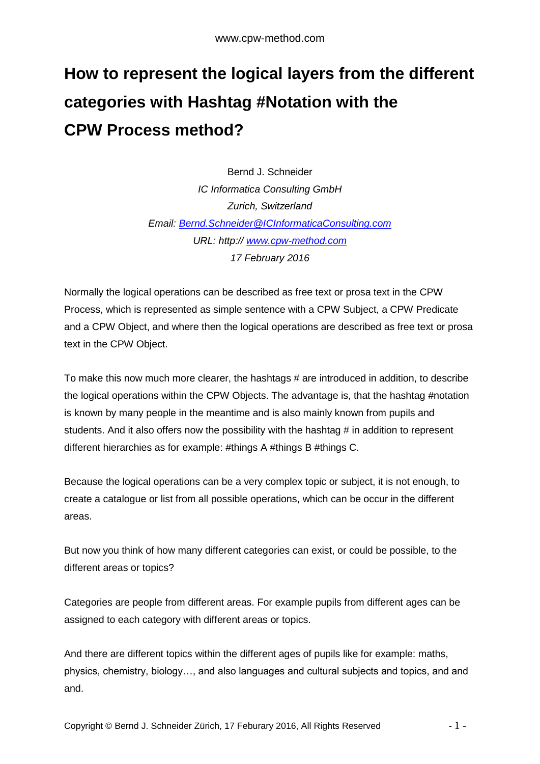## **How to represent the logical layers from the different categories with Hashtag #Notation with the CPW Process method?**

Bernd J. Schneider *IC Informatica Consulting GmbH Zurich, Switzerland Email: [Bernd.Schneider@ICInformaticaConsulting.com](mailto:Bernd.Schneider@ICInformaticaConsulting.com) URL: http:// [www.cpw-method.com](http://www.cpw-method.com/) 17 February 2016*

Normally the logical operations can be described as free text or prosa text in the CPW Process, which is represented as simple sentence with a CPW Subject, a CPW Predicate and a CPW Object, and where then the logical operations are described as free text or prosa text in the CPW Object.

To make this now much more clearer, the hashtags # are introduced in addition, to describe the logical operations within the CPW Objects. The advantage is, that the hashtag #notation is known by many people in the meantime and is also mainly known from pupils and students. And it also offers now the possibility with the hashtag # in addition to represent different hierarchies as for example: #things A #things B #things C.

Because the logical operations can be a very complex topic or subject, it is not enough, to create a catalogue or list from all possible operations, which can be occur in the different areas.

But now you think of how many different categories can exist, or could be possible, to the different areas or topics?

Categories are people from different areas. For example pupils from different ages can be assigned to each category with different areas or topics.

And there are different topics within the different ages of pupils like for example: maths, physics, chemistry, biology…, and also languages and cultural subjects and topics, and and and.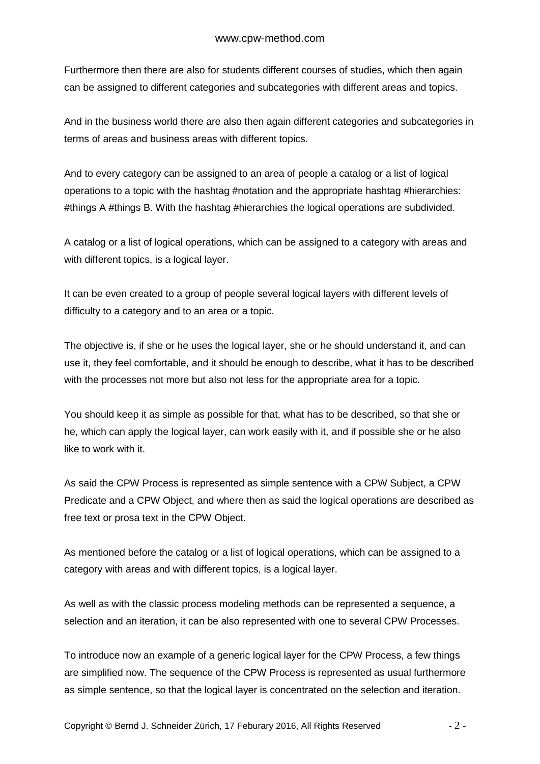Furthermore then there are also for students different courses of studies, which then again can be assigned to different categories and subcategories with different areas and topics.

And in the business world there are also then again different categories and subcategories in terms of areas and business areas with different topics.

And to every category can be assigned to an area of people a catalog or a list of logical operations to a topic with the hashtag #notation and the appropriate hashtag #hierarchies: #things A #things B. With the hashtag #hierarchies the logical operations are subdivided.

A catalog or a list of logical operations, which can be assigned to a category with areas and with different topics, is a logical layer.

It can be even created to a group of people several logical layers with different levels of difficulty to a category and to an area or a topic.

The objective is, if she or he uses the logical layer, she or he should understand it, and can use it, they feel comfortable, and it should be enough to describe, what it has to be described with the processes not more but also not less for the appropriate area for a topic.

You should keep it as simple as possible for that, what has to be described, so that she or he, which can apply the logical layer, can work easily with it, and if possible she or he also like to work with it.

As said the CPW Process is represented as simple sentence with a CPW Subject, a CPW Predicate and a CPW Object, and where then as said the logical operations are described as free text or prosa text in the CPW Object.

As mentioned before the catalog or a list of logical operations, which can be assigned to a category with areas and with different topics, is a logical layer.

As well as with the classic process modeling methods can be represented a sequence, a selection and an iteration, it can be also represented with one to several CPW Processes.

To introduce now an example of a generic logical layer for the CPW Process, a few things are simplified now. The sequence of the CPW Process is represented as usual furthermore as simple sentence, so that the logical layer is concentrated on the selection and iteration.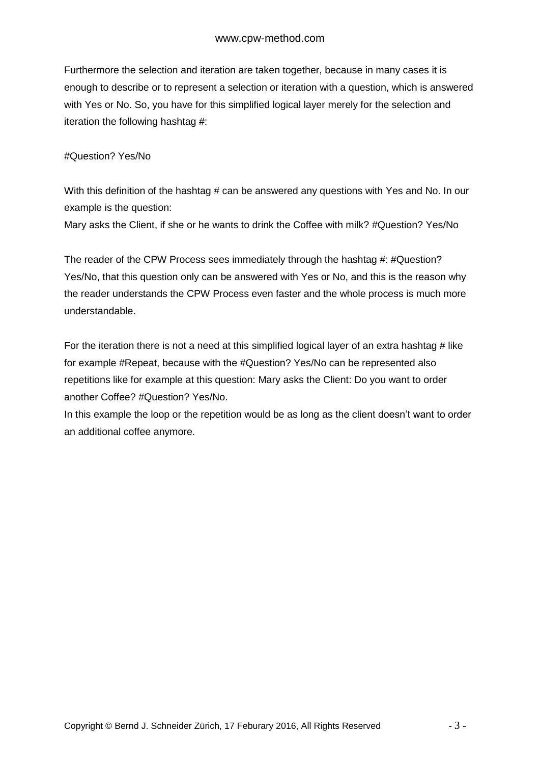Furthermore the selection and iteration are taken together, because in many cases it is enough to describe or to represent a selection or iteration with a question, which is answered with Yes or No. So, you have for this simplified logical layer merely for the selection and iteration the following hashtag #:

## #Question? Yes/No

With this definition of the hashtag # can be answered any questions with Yes and No. In our example is the question:

Mary asks the Client, if she or he wants to drink the Coffee with milk? #Question? Yes/No

The reader of the CPW Process sees immediately through the hashtag #: #Question? Yes/No, that this question only can be answered with Yes or No, and this is the reason why the reader understands the CPW Process even faster and the whole process is much more understandable.

For the iteration there is not a need at this simplified logical layer of an extra hashtag # like for example #Repeat, because with the #Question? Yes/No can be represented also repetitions like for example at this question: Mary asks the Client: Do you want to order another Coffee? #Question? Yes/No.

In this example the loop or the repetition would be as long as the client doesn't want to order an additional coffee anymore.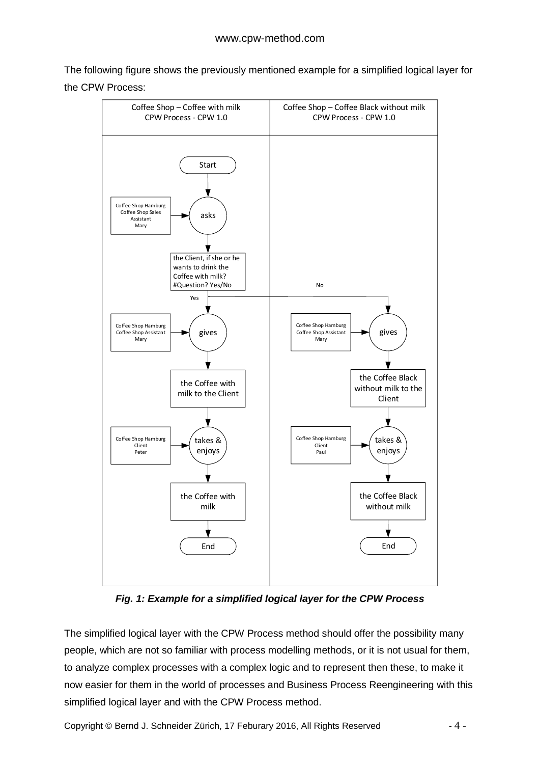The following figure shows the previously mentioned example for a simplified logical layer for the CPW Process:



*Fig. 1: Example for a simplified logical layer for the CPW Process*

The simplified logical layer with the CPW Process method should offer the possibility many people, which are not so familiar with process modelling methods, or it is not usual for them, to analyze complex processes with a complex logic and to represent then these, to make it now easier for them in the world of processes and Business Process Reengineering with this simplified logical layer and with the CPW Process method.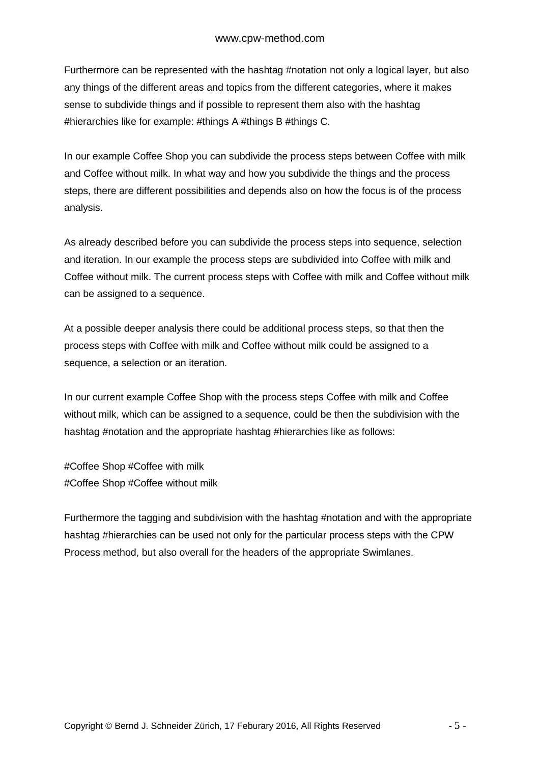Furthermore can be represented with the hashtag #notation not only a logical layer, but also any things of the different areas and topics from the different categories, where it makes sense to subdivide things and if possible to represent them also with the hashtag #hierarchies like for example: #things A #things B #things C.

In our example Coffee Shop you can subdivide the process steps between Coffee with milk and Coffee without milk. In what way and how you subdivide the things and the process steps, there are different possibilities and depends also on how the focus is of the process analysis.

As already described before you can subdivide the process steps into sequence, selection and iteration. In our example the process steps are subdivided into Coffee with milk and Coffee without milk. The current process steps with Coffee with milk and Coffee without milk can be assigned to a sequence.

At a possible deeper analysis there could be additional process steps, so that then the process steps with Coffee with milk and Coffee without milk could be assigned to a sequence, a selection or an iteration.

In our current example Coffee Shop with the process steps Coffee with milk and Coffee without milk, which can be assigned to a sequence, could be then the subdivision with the hashtag #notation and the appropriate hashtag #hierarchies like as follows:

#Coffee Shop #Coffee with milk #Coffee Shop #Coffee without milk

Furthermore the tagging and subdivision with the hashtag #notation and with the appropriate hashtag #hierarchies can be used not only for the particular process steps with the CPW Process method, but also overall for the headers of the appropriate Swimlanes.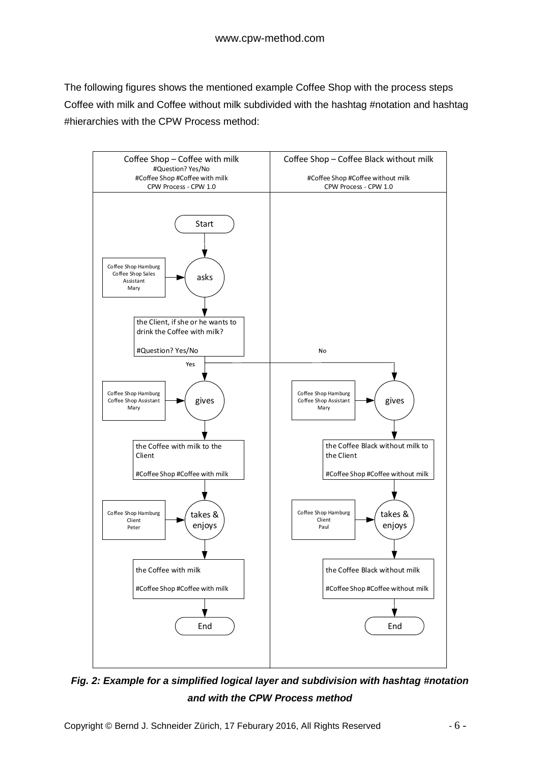The following figures shows the mentioned example Coffee Shop with the process steps Coffee with milk and Coffee without milk subdivided with the hashtag #notation and hashtag #hierarchies with the CPW Process method:



*Fig. 2: Example for a simplified logical layer and subdivision with hashtag #notation and with the CPW Process method*